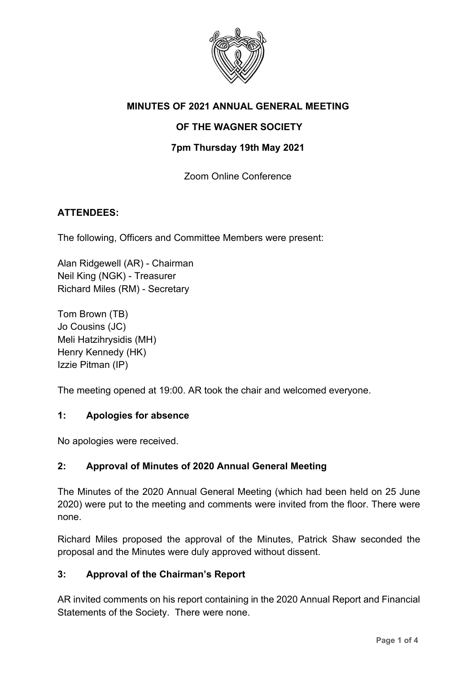

# **MINUTES OF 2021 ANNUAL GENERAL MEETING**

## **OF THE WAGNER SOCIETY**

### **7pm Thursday 19th May 2021**

Zoom Online Conference

### **ATTENDEES:**

The following, Officers and Committee Members were present:

Alan Ridgewell (AR) - Chairman Neil King (NGK) - Treasurer Richard Miles (RM) - Secretary

Tom Brown (TB) Jo Cousins (JC) Meli Hatzihrysidis (MH) Henry Kennedy (HK) Izzie Pitman (IP)

The meeting opened at 19:00. AR took the chair and welcomed everyone.

#### **1: Apologies for absence**

No apologies were received.

### **2: Approval of Minutes of 2020 Annual General Meeting**

The Minutes of the 2020 Annual General Meeting (which had been held on 25 June 2020) were put to the meeting and comments were invited from the floor. There were none.

Richard Miles proposed the approval of the Minutes, Patrick Shaw seconded the proposal and the Minutes were duly approved without dissent.

#### **3: Approval of the Chairman's Report**

AR invited comments on his report containing in the 2020 Annual Report and Financial Statements of the Society. There were none.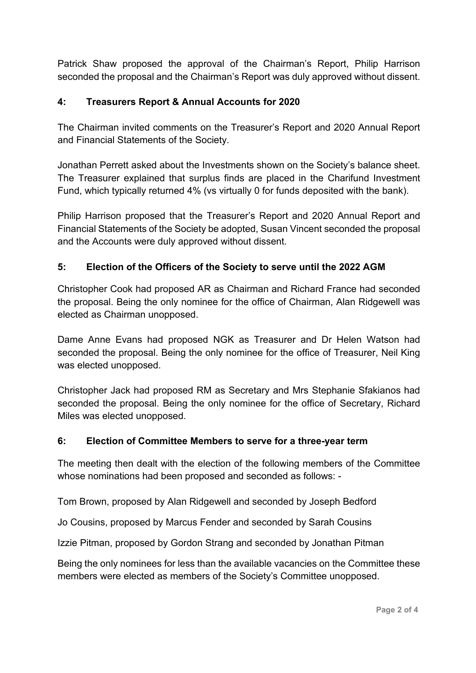Patrick Shaw proposed the approval of the Chairman's Report, Philip Harrison seconded the proposal and the Chairman's Report was duly approved without dissent.

## **4: Treasurers Report & Annual Accounts for 2020**

The Chairman invited comments on the Treasurer's Report and 2020 Annual Report and Financial Statements of the Society.

Jonathan Perrett asked about the Investments shown on the Society's balance sheet. The Treasurer explained that surplus finds are placed in the Charifund Investment Fund, which typically returned 4% (vs virtually 0 for funds deposited with the bank).

Philip Harrison proposed that the Treasurer's Report and 2020 Annual Report and Financial Statements of the Society be adopted, Susan Vincent seconded the proposal and the Accounts were duly approved without dissent.

# **5: Election of the Officers of the Society to serve until the 2022 AGM**

Christopher Cook had proposed AR as Chairman and Richard France had seconded the proposal. Being the only nominee for the office of Chairman, Alan Ridgewell was elected as Chairman unopposed.

Dame Anne Evans had proposed NGK as Treasurer and Dr Helen Watson had seconded the proposal. Being the only nominee for the office of Treasurer, Neil King was elected unopposed.

Christopher Jack had proposed RM as Secretary and Mrs Stephanie Sfakianos had seconded the proposal. Being the only nominee for the office of Secretary, Richard Miles was elected unopposed.

### **6: Election of Committee Members to serve for a three-year term**

The meeting then dealt with the election of the following members of the Committee whose nominations had been proposed and seconded as follows: -

Tom Brown, proposed by Alan Ridgewell and seconded by Joseph Bedford

Jo Cousins, proposed by Marcus Fender and seconded by Sarah Cousins

Izzie Pitman, proposed by Gordon Strang and seconded by Jonathan Pitman

Being the only nominees for less than the available vacancies on the Committee these members were elected as members of the Society's Committee unopposed.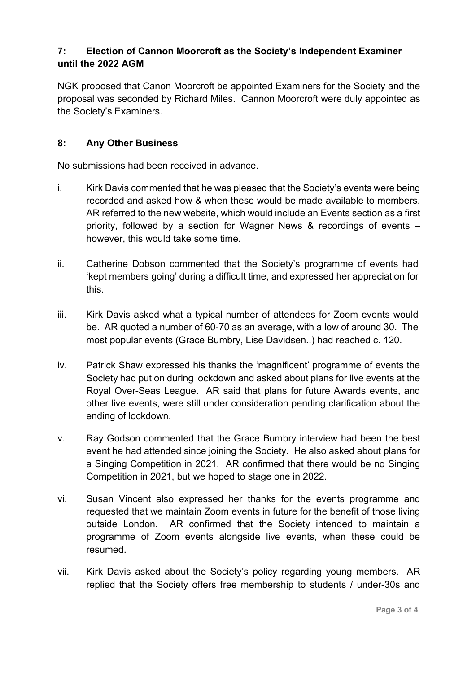# **7: Election of Cannon Moorcroft as the Society's Independent Examiner until the 2022 AGM**

NGK proposed that Canon Moorcroft be appointed Examiners for the Society and the proposal was seconded by Richard Miles. Cannon Moorcroft were duly appointed as the Society's Examiners.

## **8: Any Other Business**

No submissions had been received in advance.

- i. Kirk Davis commented that he was pleased that the Society's events were being recorded and asked how & when these would be made available to members. AR referred to the new website, which would include an Events section as a first priority, followed by a section for Wagner News & recordings of events – however, this would take some time.
- ii. Catherine Dobson commented that the Society's programme of events had 'kept members going' during a difficult time, and expressed her appreciation for this.
- iii. Kirk Davis asked what a typical number of attendees for Zoom events would be. AR quoted a number of 60-70 as an average, with a low of around 30. The most popular events (Grace Bumbry, Lise Davidsen..) had reached c. 120.
- iv. Patrick Shaw expressed his thanks the 'magnificent' programme of events the Society had put on during lockdown and asked about plans for live events at the Royal Over-Seas League. AR said that plans for future Awards events, and other live events, were still under consideration pending clarification about the ending of lockdown.
- v. Ray Godson commented that the Grace Bumbry interview had been the best event he had attended since joining the Society. He also asked about plans for a Singing Competition in 2021. AR confirmed that there would be no Singing Competition in 2021, but we hoped to stage one in 2022.
- vi. Susan Vincent also expressed her thanks for the events programme and requested that we maintain Zoom events in future for the benefit of those living outside London. AR confirmed that the Society intended to maintain a programme of Zoom events alongside live events, when these could be resumed.
- vii. Kirk Davis asked about the Society's policy regarding young members. AR replied that the Society offers free membership to students / under-30s and